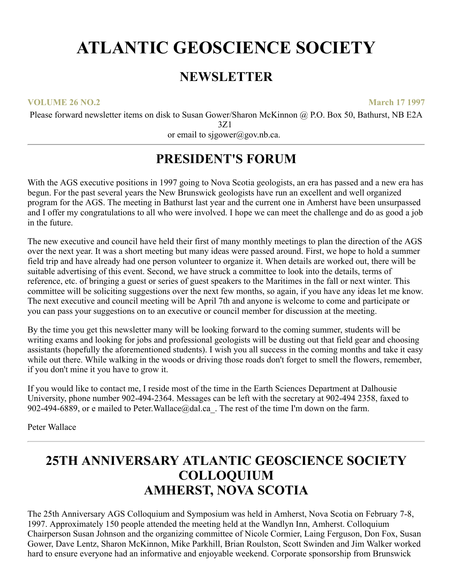# **ATLANTIC GEOSCIENCE SOCIETY**

### **NEWSLETTER**

**VOLUME 26 NO.2 March 17 1997**

Please forward newsletter items on disk to Susan Gower/Sharon McKinnon @ P.O. Box 50, Bathurst, NB E2A 3Z1

or email to sjgower@gov.nb.ca.

### **PRESIDENT'S FORUM**

With the AGS executive positions in 1997 going to Nova Scotia geologists, an era has passed and a new era has begun. For the past several years the New Brunswick geologists have run an excellent and well organized program for the AGS. The meeting in Bathurst last year and the current one in Amherst have been unsurpassed and I offer my congratulations to all who were involved. I hope we can meet the challenge and do as good a job in the future.

The new executive and council have held their first of many monthly meetings to plan the direction of the AGS over the next year. It was a short meeting but many ideas were passed around. First, we hope to hold a summer field trip and have already had one person volunteer to organize it. When details are worked out, there will be suitable advertising of this event. Second, we have struck a committee to look into the details, terms of reference, etc. of bringing a guest or series of guest speakers to the Maritimes in the fall or next winter. This committee will be soliciting suggestions over the next few months, so again, if you have any ideas let me know. The next executive and council meeting will be April 7th and anyone is welcome to come and participate or you can pass your suggestions on to an executive or council member for discussion at the meeting.

By the time you get this newsletter many will be looking forward to the coming summer, students will be writing exams and looking for jobs and professional geologists will be dusting out that field gear and choosing assistants (hopefully the aforementioned students). I wish you all success in the coming months and take it easy while out there. While walking in the woods or driving those roads don't forget to smell the flowers, remember, if you don't mine it you have to grow it.

If you would like to contact me, I reside most of the time in the Earth Sciences Department at Dalhousie University, phone number 902-494-2364. Messages can be left with the secretary at 902-494 2358, faxed to 902-494-6889, or e mailed to Peter. Wallace@dal.ca. The rest of the time I'm down on the farm.

Peter Wallace

### **25TH ANNIVERSARY ATLANTIC GEOSCIENCE SOCIETY COLLOQUIUM AMHERST, NOVA SCOTIA**

The 25th Anniversary AGS Colloquium and Symposium was held in Amherst, Nova Scotia on February 7-8, 1997. Approximately 150 people attended the meeting held at the Wandlyn Inn, Amherst. Colloquium Chairperson Susan Johnson and the organizing committee of Nicole Cormier, Laing Ferguson, Don Fox, Susan Gower, Dave Lentz, Sharon McKinnon, Mike Parkhill, Brian Roulston, Scott Swinden and Jim Walker worked hard to ensure everyone had an informative and enjoyable weekend. Corporate sponsorship from Brunswick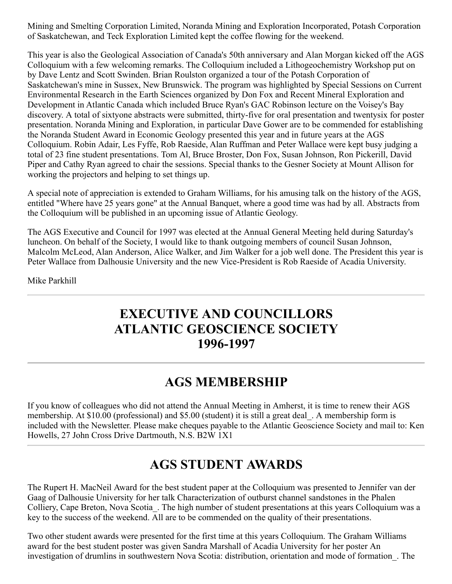Mining and Smelting Corporation Limited, Noranda Mining and Exploration Incorporated, Potash Corporation of Saskatchewan, and Teck Exploration Limited kept the coffee flowing for the weekend.

This year is also the Geological Association of Canada's 50th anniversary and Alan Morgan kicked off the AGS Colloquium with a few welcoming remarks. The Colloquium included a Lithogeochemistry Workshop put on by Dave Lentz and Scott Swinden. Brian Roulston organized a tour of the Potash Corporation of Saskatchewan's mine in Sussex, New Brunswick. The program was highlighted by Special Sessions on Current Environmental Research in the Earth Sciences organized by Don Fox and Recent Mineral Exploration and Development in Atlantic Canada which included Bruce Ryan's GAC Robinson lecture on the Voisey's Bay discovery. A total of sixtyone abstracts were submitted, thirty-five for oral presentation and twentysix for poster presentation. Noranda Mining and Exploration, in particular Dave Gower are to be commended for establishing the Noranda Student Award in Economic Geology presented this year and in future years at the AGS Colloquium. Robin Adair, Les Fyffe, Rob Raeside, Alan Ruffman and Peter Wallace were kept busy judging a total of 23 fine student presentations. Tom Al, Bruce Broster, Don Fox, Susan Johnson, Ron Pickerill, David Piper and Cathy Ryan agreed to chair the sessions. Special thanks to the Gesner Society at Mount Allison for working the projectors and helping to set things up.

A special note of appreciation is extended to Graham Williams, for his amusing talk on the history of the AGS, entitled "Where have 25 years gone" at the Annual Banquet, where a good time was had by all. Abstracts from the Colloquium will be published in an upcoming issue of Atlantic Geology.

The AGS Executive and Council for 1997 was elected at the Annual General Meeting held during Saturday's luncheon. On behalf of the Society, I would like to thank outgoing members of council Susan Johnson, Malcolm McLeod, Alan Anderson, Alice Walker, and Jim Walker for a job well done. The President this year is Peter Wallace from Dalhousie University and the new Vice-President is Rob Raeside of Acadia University.

Mike Parkhill

### **EXECUTIVE AND COUNCILLORS ATLANTIC GEOSCIENCE SOCIETY 1996-1997**

### **AGS MEMBERSHIP**

If you know of colleagues who did not attend the Annual Meeting in Amherst, it is time to renew their AGS membership. At \$10.00 (professional) and \$5.00 (student) it is still a great deal\_. A membership form is included with the Newsletter. Please make cheques payable to the Atlantic Geoscience Society and mail to: Ken Howells, 27 John Cross Drive Dartmouth, N.S. B2W 1X1

### **AGS STUDENT AWARDS**

The Rupert H. MacNeil Award for the best student paper at the Colloquium was presented to Jennifer van der Gaag of Dalhousie University for her talk Characterization of outburst channel sandstones in the Phalen Colliery, Cape Breton, Nova Scotia\_. The high number of student presentations at this years Colloquium was a key to the success of the weekend. All are to be commended on the quality of their presentations.

Two other student awards were presented for the first time at this years Colloquium. The Graham Williams award for the best student poster was given Sandra Marshall of Acadia University for her poster An investigation of drumlins in southwestern Nova Scotia: distribution, orientation and mode of formation\_. The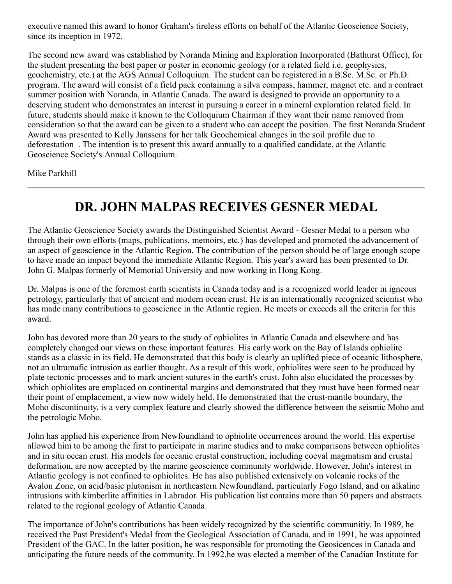executive named this award to honor Graham's tireless efforts on behalf of the Atlantic Geoscience Society, since its inception in 1972.

The second new award was established by Noranda Mining and Exploration Incorporated (Bathurst Office), for the student presenting the best paper or poster in economic geology (or a related field i.e. geophysics, geochemistry, etc.) at the AGS Annual Colloquium. The student can be registered in a B.Sc. M.Sc. or Ph.D. program. The award will consist of a field pack containing a silva compass, hammer, magnet etc. and a contract summer position with Noranda, in Atlantic Canada. The award is designed to provide an opportunity to a deserving student who demonstrates an interest in pursuing a career in a mineral exploration related field. In future, students should make it known to the Colloquium Chairman if they want their name removed from consideration so that the award can be given to a student who can accept the position. The first Noranda Student Award was presented to Kelly Janssens for her talk Geochemical changes in the soil profile due to deforestation\_. The intention is to present this award annually to a qualified candidate, at the Atlantic Geoscience Society's Annual Colloquium.

Mike Parkhill

## **DR. JOHN MALPAS RECEIVES GESNER MEDAL**

The Atlantic Geoscience Society awards the Distinguished Scientist Award - Gesner Medal to a person who through their own efforts (maps, publications, memoirs, etc.) has developed and promoted the advancement of an aspect of geoscience in the Atlantic Region. The contribution of the person should be of large enough scope to have made an impact beyond the immediate Atlantic Region. This year's award has been presented to Dr. John G. Malpas formerly of Memorial University and now working in Hong Kong.

Dr. Malpas is one of the foremost earth scientists in Canada today and is a recognized world leader in igneous petrology, particularly that of ancient and modern ocean crust. He is an internationally recognized scientist who has made many contributions to geoscience in the Atlantic region. He meets or exceeds all the criteria for this award.

John has devoted more than 20 years to the study of ophiolites in Atlantic Canada and elsewhere and has completely changed our views on these important features. His early work on the Bay of Islands ophiolite stands as a classic in its field. He demonstrated that this body is clearly an uplifted piece of oceanic lithosphere, not an ultramafic intrusion as earlier thought. As a result of this work, ophiolites were seen to be produced by plate tectonic processes and to mark ancient sutures in the earth's crust. John also elucidated the processes by which ophiolites are emplaced on continental margins and demonstrated that they must have been formed near their point of emplacement, a view now widely held. He demonstrated that the crust-mantle boundary, the Moho discontinuity, is a very complex feature and clearly showed the difference between the seismic Moho and the petrologic Moho.

John has applied his experience from Newfoundland to ophiolite occurrences around the world. His expertise allowed him to be among the first to participate in marine studies and to make comparisons between ophiolites and in situ ocean crust. His models for oceanic crustal construction, including coeval magmatism and crustal deformation, are now accepted by the marine geoscience community worldwide. However, John's interest in Atlantic geology is not confined to ophiolites. He has also published extensively on volcanic rocks of the Avalon Zone, on acid/basic plutonism in northeastern Newfoundland, particularly Fogo Island, and on alkaline intrusions with kimberlite affinities in Labrador. His publication list contains more than 50 papers and abstracts related to the regional geology of Atlantic Canada.

The importance of John's contributions has been widely recognized by the scientific communitiy. In 1989, he received the Past President's Medal from the Geological Association of Canada, and in 1991, he was appointed President of the GAC. In the latter position, he was responsible for promoting the Geosicences in Canada and anticipating the future needs of the community. In 1992,he was elected a member of the Canadian Institute for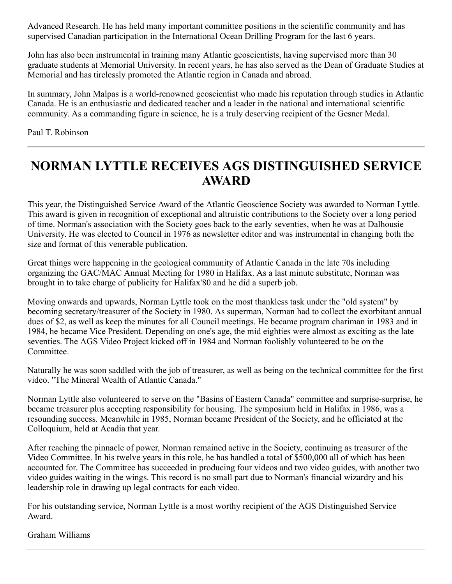Advanced Research. He has held many important committee positions in the scientific community and has supervised Canadian participation in the International Ocean Drilling Program for the last 6 years.

John has also been instrumental in training many Atlantic geoscientists, having supervised more than 30 graduate students at Memorial University. In recent years, he has also served as the Dean of Graduate Studies at Memorial and has tirelessly promoted the Atlantic region in Canada and abroad.

In summary, John Malpas is a world-renowned geoscientist who made his reputation through studies in Atlantic Canada. He is an enthusiastic and dedicated teacher and a leader in the national and international scientific community. As a commanding figure in science, he is a truly deserving recipient of the Gesner Medal.

#### Paul T. Robinson

### **NORMAN LYTTLE RECEIVES AGS DISTINGUISHED SERVICE AWARD**

This year, the Distinguished Service Award of the Atlantic Geoscience Society was awarded to Norman Lyttle. This award is given in recognition of exceptional and altruistic contributions to the Society over a long period of time. Norman's association with the Society goes back to the early seventies, when he was at Dalhousie University. He was elected to Council in 1976 as newsletter editor and was instrumental in changing both the size and format of this venerable publication.

Great things were happening in the geological community of Atlantic Canada in the late 70s including organizing the GAC/MAC Annual Meeting for 1980 in Halifax. As a last minute substitute, Norman was brought in to take charge of publicity for Halifax'80 and he did a superb job.

Moving onwards and upwards, Norman Lyttle took on the most thankless task under the "old system" by becoming secretary/treasurer of the Society in 1980. As superman, Norman had to collect the exorbitant annual dues of \$2, as well as keep the minutes for all Council meetings. He became program chariman in 1983 and in 1984, he became Vice President. Depending on one's age, the mid eighties were almost as exciting as the late seventies. The AGS Video Project kicked off in 1984 and Norman foolishly volunteered to be on the Committee.

Naturally he was soon saddled with the job of treasurer, as well as being on the technical committee for the first video. "The Mineral Wealth of Atlantic Canada."

Norman Lyttle also volunteered to serve on the "Basins of Eastern Canada" committee and surprise-surprise, he became treasurer plus accepting responsibility for housing. The symposium held in Halifax in 1986, was a resounding success. Meanwhile in 1985, Norman became President of the Society, and he officiated at the Colloquium, held at Acadia that year.

After reaching the pinnacle of power, Norman remained active in the Society, continuing as treasurer of the Video Committee. In his twelve years in this role, he has handled a total of \$500,000 all of which has been accounted for. The Committee has succeeded in producing four videos and two video guides, with another two video guides waiting in the wings. This record is no small part due to Norman's financial wizardry and his leadership role in drawing up legal contracts for each video.

For his outstanding service, Norman Lyttle is a most worthy recipient of the AGS Distinguished Service Award.

Graham Williams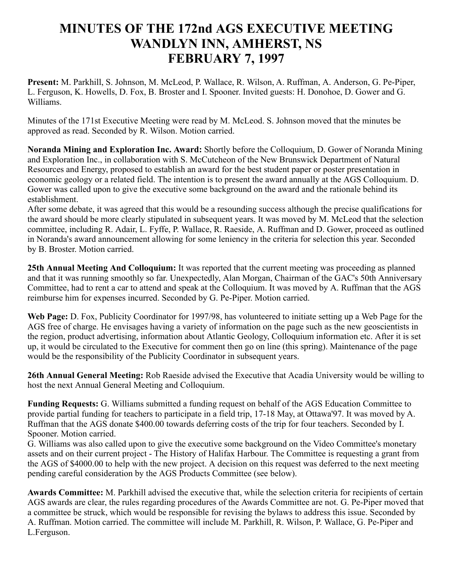### **MINUTES OF THE 172nd AGS EXECUTIVE MEETING WANDLYN INN, AMHERST, NS FEBRUARY 7, 1997**

**Present:** M. Parkhill, S. Johnson, M. McLeod, P. Wallace, R. Wilson, A. Ruffman, A. Anderson, G. Pe-Piper, L. Ferguson, K. Howells, D. Fox, B. Broster and I. Spooner. Invited guests: H. Donohoe, D. Gower and G. Williams.

Minutes of the 171st Executive Meeting were read by M. McLeod. S. Johnson moved that the minutes be approved as read. Seconded by R. Wilson. Motion carried.

**Noranda Mining and Exploration Inc. Award:** Shortly before the Colloquium, D. Gower of Noranda Mining and Exploration Inc., in collaboration with S. McCutcheon of the New Brunswick Department of Natural Resources and Energy, proposed to establish an award for the best student paper or poster presentation in economic geology or a related field. The intention is to present the award annually at the AGS Colloquium. D. Gower was called upon to give the executive some background on the award and the rationale behind its establishment.

After some debate, it was agreed that this would be a resounding success although the precise qualifications for the award should be more clearly stipulated in subsequent years. It was moved by M. McLeod that the selection committee, including R. Adair, L. Fyffe, P. Wallace, R. Raeside, A. Ruffman and D. Gower, proceed as outlined in Noranda's award announcement allowing for some leniency in the criteria for selection this year. Seconded by B. Broster. Motion carried.

**25th Annual Meeting And Colloquium:** It was reported that the current meeting was proceeding as planned and that it was running smoothly so far. Unexpectedly, Alan Morgan, Chairman of the GAC's 50th Anniversary Committee, had to rent a car to attend and speak at the Colloquium. It was moved by A. Ruffman that the AGS reimburse him for expenses incurred. Seconded by G. Pe-Piper. Motion carried.

**Web Page:** D. Fox, Publicity Coordinator for 1997/98, has volunteered to initiate setting up a Web Page for the AGS free of charge. He envisages having a variety of information on the page such as the new geoscientists in the region, product advertising, information about Atlantic Geology, Colloquium information etc. After it is set up, it would be circulated to the Executive for comment then go on line (this spring). Maintenance of the page would be the responsibility of the Publicity Coordinator in subsequent years.

**26th Annual General Meeting:** Rob Raeside advised the Executive that Acadia University would be willing to host the next Annual General Meeting and Colloquium.

**Funding Requests:** G. Williams submitted a funding request on behalf of the AGS Education Committee to provide partial funding for teachers to participate in a field trip, 17-18 May, at Ottawa'97. It was moved by A. Ruffman that the AGS donate \$400.00 towards deferring costs of the trip for four teachers. Seconded by I. Spooner. Motion carried.

G. Williams was also called upon to give the executive some background on the Video Committee's monetary assets and on their current project - The History of Halifax Harbour. The Committee is requesting a grant from the AGS of \$4000.00 to help with the new project. A decision on this request was deferred to the next meeting pending careful consideration by the AGS Products Committee (see below).

**Awards Committee:** M. Parkhill advised the executive that, while the selection criteria for recipients of certain AGS awards are clear, the rules regarding procedures of the Awards Committee are not. G. Pe-Piper moved that a committee be struck, which would be responsible for revising the bylaws to address this issue. Seconded by A. Ruffman. Motion carried. The committee will include M. Parkhill, R. Wilson, P. Wallace, G. Pe-Piper and L.Ferguson.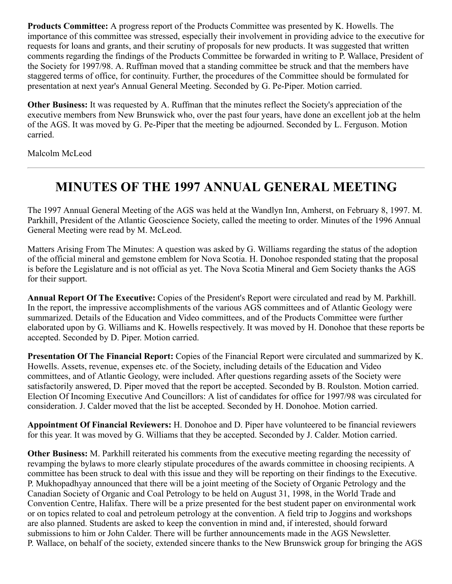**Products Committee:** A progress report of the Products Committee was presented by K. Howells. The importance of this committee was stressed, especially their involvement in providing advice to the executive for requests for loans and grants, and their scrutiny of proposals for new products. It was suggested that written comments regarding the findings of the Products Committee be forwarded in writing to P. Wallace, President of the Society for 1997/98. A. Ruffman moved that a standing committee be struck and that the members have staggered terms of office, for continuity. Further, the procedures of the Committee should be formulated for presentation at next year's Annual General Meeting. Seconded by G. Pe-Piper. Motion carried.

**Other Business:** It was requested by A. Ruffman that the minutes reflect the Society's appreciation of the executive members from New Brunswick who, over the past four years, have done an excellent job at the helm of the AGS. It was moved by G. Pe-Piper that the meeting be adjourned. Seconded by L. Ferguson. Motion carried.

Malcolm McLeod

### **MINUTES OF THE 1997 ANNUAL GENERAL MEETING**

The 1997 Annual General Meeting of the AGS was held at the Wandlyn Inn, Amherst, on February 8, 1997. M. Parkhill, President of the Atlantic Geoscience Society, called the meeting to order. Minutes of the 1996 Annual General Meeting were read by M. McLeod.

Matters Arising From The Minutes: A question was asked by G. Williams regarding the status of the adoption of the official mineral and gemstone emblem for Nova Scotia. H. Donohoe responded stating that the proposal is before the Legislature and is not official as yet. The Nova Scotia Mineral and Gem Society thanks the AGS for their support.

**Annual Report Of The Executive:** Copies of the President's Report were circulated and read by M. Parkhill. In the report, the impressive accomplishments of the various AGS committees and of Atlantic Geology were summarized. Details of the Education and Video committees, and of the Products Committee were further elaborated upon by G. Williams and K. Howells respectively. It was moved by H. Donohoe that these reports be accepted. Seconded by D. Piper. Motion carried.

**Presentation Of The Financial Report:** Copies of the Financial Report were circulated and summarized by K. Howells. Assets, revenue, expenses etc. of the Society, including details of the Education and Video committees, and of Atlantic Geology, were included. After questions regarding assets of the Society were satisfactorily answered, D. Piper moved that the report be accepted. Seconded by B. Roulston. Motion carried. Election Of Incoming Executive And Councillors: A list of candidates for office for 1997/98 was circulated for consideration. J. Calder moved that the list be accepted. Seconded by H. Donohoe. Motion carried.

**Appointment Of Financial Reviewers:** H. Donohoe and D. Piper have volunteered to be financial reviewers for this year. It was moved by G. Williams that they be accepted. Seconded by J. Calder. Motion carried.

**Other Business:** M. Parkhill reiterated his comments from the executive meeting regarding the necessity of revamping the bylaws to more clearly stipulate procedures of the awards committee in choosing recipients. A committee has been struck to deal with this issue and they will be reporting on their findings to the Executive. P. Mukhopadhyay announced that there will be a joint meeting of the Society of Organic Petrology and the Canadian Society of Organic and Coal Petrology to be held on August 31, 1998, in the World Trade and Convention Centre, Halifax. There will be a prize presented for the best student paper on environmental work or on topics related to coal and petroleum petrology at the convention. A field trip to Joggins and workshops are also planned. Students are asked to keep the convention in mind and, if interested, should forward submissions to him or John Calder. There will be further announcements made in the AGS Newsletter. P. Wallace, on behalf of the society, extended sincere thanks to the New Brunswick group for bringing the AGS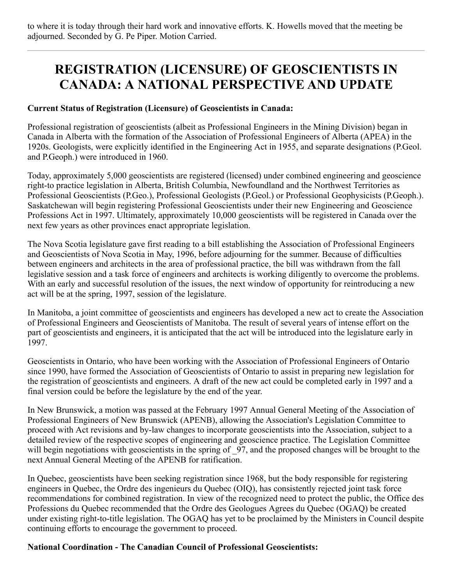to where it is today through their hard work and innovative efforts. K. Howells moved that the meeting be adjourned. Seconded by G. Pe Piper. Motion Carried.

### **REGISTRATION (LICENSURE) OF GEOSCIENTISTS IN CANADA: A NATIONAL PERSPECTIVE AND UPDATE**

#### **Current Status of Registration (Licensure) of Geoscientists in Canada:**

Professional registration of geoscientists (albeit as Professional Engineers in the Mining Division) began in Canada in Alberta with the formation of the Association of Professional Engineers of Alberta (APEA) in the 1920s. Geologists, were explicitly identified in the Engineering Act in 1955, and separate designations (P.Geol. and P.Geoph.) were introduced in 1960.

Today, approximately 5,000 geoscientists are registered (licensed) under combined engineering and geoscience right-to practice legislation in Alberta, British Columbia, Newfoundland and the Northwest Territories as Professional Geoscientists (P.Geo.), Professional Geologists (P.Geol.) or Professional Geophysicists (P.Geoph.). Saskatchewan will begin registering Professional Geoscientists under their new Engineering and Geoscience Professions Act in 1997. Ultimately, approximately 10,000 geoscientists will be registered in Canada over the next few years as other provinces enact appropriate legislation.

The Nova Scotia legislature gave first reading to a bill establishing the Association of Professional Engineers and Geoscientists of Nova Scotia in May, 1996, before adjourning for the summer. Because of difficulties between engineers and architects in the area of professional practice, the bill was withdrawn from the fall legislative session and a task force of engineers and architects is working diligently to overcome the problems. With an early and successful resolution of the issues, the next window of opportunity for reintroducing a new act will be at the spring, 1997, session of the legislature.

In Manitoba, a joint committee of geoscientists and engineers has developed a new act to create the Association of Professional Engineers and Geoscientists of Manitoba. The result of several years of intense effort on the part of geoscientists and engineers, it is anticipated that the act will be introduced into the legislature early in 1997.

Geoscientists in Ontario, who have been working with the Association of Professional Engineers of Ontario since 1990, have formed the Association of Geoscientists of Ontario to assist in preparing new legislation for the registration of geoscientists and engineers. A draft of the new act could be completed early in 1997 and a final version could be before the legislature by the end of the year.

In New Brunswick, a motion was passed at the February 1997 Annual General Meeting of the Association of Professional Engineers of New Brunswick (APENB), allowing the Association's Legislation Committee to proceed with Act revisions and by-law changes to incorporate geoscientists into the Association, subject to a detailed review of the respective scopes of engineering and geoscience practice. The Legislation Committee will begin negotiations with geoscientists in the spring of 97, and the proposed changes will be brought to the next Annual General Meeting of the APENB for ratification.

In Quebec, geoscientists have been seeking registration since 1968, but the body responsible for registering engineers in Quebec, the Ordre des ingenieurs du Quebec (OIQ), has consistently rejected joint task force recommendations for combined registration. In view of the recognized need to protect the public, the Office des Professions du Quebec recommended that the Ordre des Geologues Agrees du Quebec (OGAQ) be created under existing right-to-title legislation. The OGAQ has yet to be proclaimed by the Ministers in Council despite continuing efforts to encourage the government to proceed.

#### **National Coordination - The Canadian Council of Professional Geoscientists:**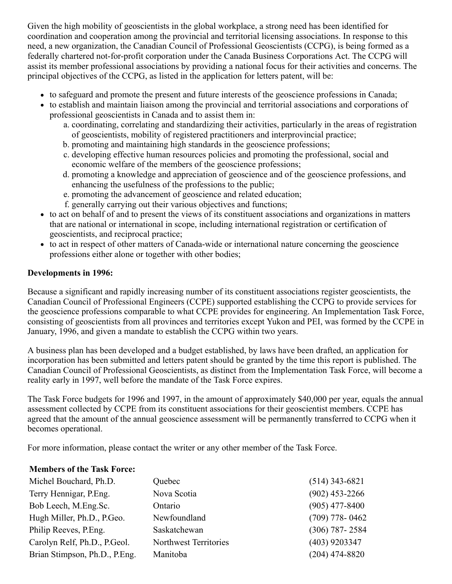Given the high mobility of geoscientists in the global workplace, a strong need has been identified for coordination and cooperation among the provincial and territorial licensing associations. In response to this need, a new organization, the Canadian Council of Professional Geoscientists (CCPG), is being formed as a federally chartered not-for-profit corporation under the Canada Business Corporations Act. The CCPG will assist its member professional associations by providing a national focus for their activities and concerns. The principal objectives of the CCPG, as listed in the application for letters patent, will be:

- to safeguard and promote the present and future interests of the geoscience professions in Canada;
- to establish and maintain liaison among the provincial and territorial associations and corporations of professional geoscientists in Canada and to assist them in:
	- a. coordinating, correlating and standardizing their activities, particularly in the areas of registration of geoscientists, mobility of registered practitioners and interprovincial practice;
	- b. promoting and maintaining high standards in the geoscience professions;
	- c. developing effective human resources policies and promoting the professional, social and economic welfare of the members of the geoscience professions;
	- d. promoting a knowledge and appreciation of geoscience and of the geoscience professions, and enhancing the usefulness of the professions to the public;
	- e. promoting the advancement of geoscience and related education;
	- f. generally carrying out their various objectives and functions;
- to act on behalf of and to present the views of its constituent associations and organizations in matters that are national or international in scope, including international registration or certification of geoscientists, and reciprocal practice;
- to act in respect of other matters of Canada-wide or international nature concerning the geoscience professions either alone or together with other bodies;

#### **Developments in 1996:**

Because a significant and rapidly increasing number of its constituent associations register geoscientists, the Canadian Council of Professional Engineers (CCPE) supported establishing the CCPG to provide services for the geoscience professions comparable to what CCPE provides for engineering. An Implementation Task Force, consisting of geoscientists from all provinces and territories except Yukon and PEI, was formed by the CCPE in January, 1996, and given a mandate to establish the CCPG within two years.

A business plan has been developed and a budget established, by laws have been drafted, an application for incorporation has been submitted and letters patent should be granted by the time this report is published. The Canadian Council of Professional Geoscientists, as distinct from the Implementation Task Force, will become a reality early in 1997, well before the mandate of the Task Force expires.

The Task Force budgets for 1996 and 1997, in the amount of approximately \$40,000 per year, equals the annual assessment collected by CCPE from its constituent associations for their geoscientist members. CCPE has agreed that the amount of the annual geoscience assessment will be permanently transferred to CCPG when it becomes operational.

For more information, please contact the writer or any other member of the Task Force.

#### **Members of the Task Force:**

| Michel Bouchard, Ph.D.        | Quebec                | $(514)$ 343-6821 |
|-------------------------------|-----------------------|------------------|
| Terry Hennigar, P.Eng.        | Nova Scotia           | $(902)$ 453-2266 |
| Bob Leech, M.Eng.Sc.          | Ontario               | $(905)$ 477-8400 |
| Hugh Miller, Ph.D., P.Geo.    | Newfoundland          | $(709)$ 778-0462 |
| Philip Reeves, P.Eng.         | Saskatchewan          | $(306)$ 787-2584 |
| Carolyn Relf, Ph.D., P.Geol.  | Northwest Territories | $(403)$ 9203347  |
| Brian Stimpson, Ph.D., P.Eng. | Manitoba              | $(204)$ 474-8820 |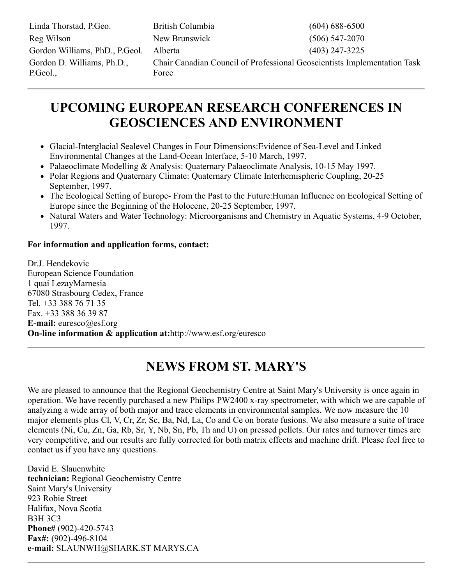| Linda Thorstad, P.Geo.                 | British Columbia                                                                  | $(604)$ 688-6500 |
|----------------------------------------|-----------------------------------------------------------------------------------|------------------|
| Reg Wilson                             | New Brunswick                                                                     | $(506)$ 547-2070 |
| Gordon Williams, PhD., P.Geol.         | Alberta                                                                           | $(403)$ 247-3225 |
| Gordon D. Williams, Ph.D.,<br>P.Geol., | Chair Canadian Council of Professional Geoscientists Implementation Task<br>Force |                  |

### **UPCOMING EUROPEAN RESEARCH CONFERENCES IN GEOSCIENCES AND ENVIRONMENT**

- Glacial-Interglacial Sealevel Changes in Four Dimensions:Evidence of Sea-Level and Linked Environmental Changes at the Land-Ocean Interface, 5-10 March, 1997.
- Palaeoclimate Modelling & Analysis: Quaternary Palaeoclimate Analysis, 10-15 May 1997.
- Polar Regions and Quaternary Climate: Quaternary Climate Interhemispheric Coupling, 20-25 September, 1997.
- The Ecological Setting of Europe- From the Past to the Future:Human Influence on Ecological Setting of Europe since the Beginning of the Holocene, 20-25 September, 1997.
- Natural Waters and Water Technology: Microorganisms and Chemistry in Aquatic Systems, 4-9 October, 1997.

#### **For information and application forms, contact:**

Dr.J. Hendekovic European Science Foundation 1 quai LezayMarnesia 67080 Strasbourg Cedex, France Tel. +33 388 76 71 35 Fax. +33 388 36 39 87 **E-mail:** euresco@esf.org **On-line information & application at:**http://www.esf.org/euresco

### **NEWS FROM ST. MARY'S**

We are pleased to announce that the Regional Geochemistry Centre at Saint Mary's University is once again in operation. We have recently purchased a new Philips PW2400 x-ray spectrometer, with which we are capable of analyzing a wide array of both major and trace elements in environmental samples. We now measure the 10 major elements plus Cl, V, Cr, Zr, Sc, Ba, Nd, La, Co and Ce on borate fusions. We also measure a suite of trace elements (Ni, Cu, Zn, Ga, Rb, Sr, Y, Nb, Sn, Pb, Th and U) on pressed pellets. Our rates and turnover times are very competitive, and our results are fully corrected for both matrix effects and machine drift. Please feel free to contact us if you have any questions.

David E. Slauenwhite **technician:** Regional Geochemistry Centre Saint Mary's University 923 Robie Street Halifax, Nova Scotia B3H 3C3 **Phone#** (902)-420-5743 **Fax#:** (902)-496-8104 **e-mail:** SLAUNWH@SHARK.ST MARYS.CA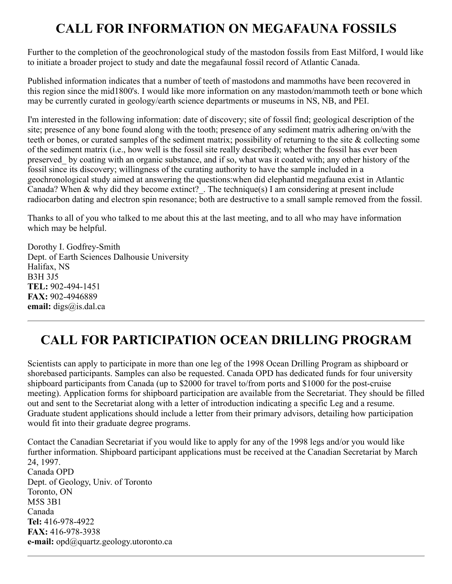# **CALL FOR INFORMATION ON MEGAFAUNA FOSSILS**

Further to the completion of the geochronological study of the mastodon fossils from East Milford, I would like to initiate a broader project to study and date the megafaunal fossil record of Atlantic Canada.

Published information indicates that a number of teeth of mastodons and mammoths have been recovered in this region since the mid1800's. I would like more information on any mastodon/mammoth teeth or bone which may be currently curated in geology/earth science departments or museums in NS, NB, and PEI.

I'm interested in the following information: date of discovery; site of fossil find; geological description of the site; presence of any bone found along with the tooth; presence of any sediment matrix adhering on/with the teeth or bones, or curated samples of the sediment matrix; possibility of returning to the site & collecting some of the sediment matrix (i.e., how well is the fossil site really described); whether the fossil has ever been preserved\_ by coating with an organic substance, and if so, what was it coated with; any other history of the fossil since its discovery; willingness of the curating authority to have the sample included in a geochronological study aimed at answering the questions:when did elephantid megafauna exist in Atlantic Canada? When & why did they become extinct? . The technique(s) I am considering at present include radiocarbon dating and electron spin resonance; both are destructive to a small sample removed from the fossil.

Thanks to all of you who talked to me about this at the last meeting, and to all who may have information which may be helpful.

Dorothy I. Godfrey-Smith Dept. of Earth Sciences Dalhousie University Halifax, NS B3H 3J5 **TEL:** 902-494-1451 **FAX:** 902-4946889 **email:** digs@is.dal.ca

# **CALL FOR PARTICIPATION OCEAN DRILLING PROGRAM**

Scientists can apply to participate in more than one leg of the 1998 Ocean Drilling Program as shipboard or shorebased participants. Samples can also be requested. Canada OPD has dedicated funds for four university shipboard participants from Canada (up to \$2000 for travel to/from ports and \$1000 for the post-cruise meeting). Application forms for shipboard participation are available from the Secretariat. They should be filled out and sent to the Secretariat along with a letter of introduction indicating a specific Leg and a resume. Graduate student applications should include a letter from their primary advisors, detailing how participation would fit into their graduate degree programs.

Contact the Canadian Secretariat if you would like to apply for any of the 1998 legs and/or you would like further information. Shipboard participant applications must be received at the Canadian Secretariat by March 24, 1997. Canada OPD Dept. of Geology, Univ. of Toronto Toronto, ON M5S 3B1 Canada **Tel:** 416-978-4922 **FAX:** 416-978-3938 **e-mail:** opd@quartz.geology.utoronto.ca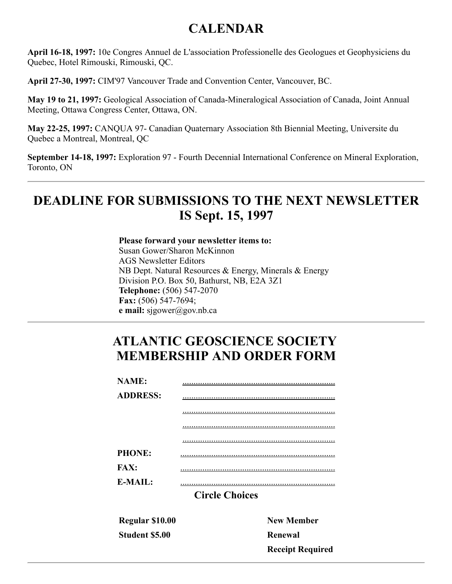### **CALENDAR**

**April 16-18, 1997:** 10e Congres Annuel de L'association Professionelle des Geologues et Geophysiciens du Quebec, Hotel Rimouski, Rimouski, QC.

**April 27-30, 1997:** CIM'97 Vancouver Trade and Convention Center, Vancouver, BC.

**May 19 to 21, 1997:** Geological Association of Canada-Mineralogical Association of Canada, Joint Annual Meeting, Ottawa Congress Center, Ottawa, ON.

**May 22-25, 1997:** CANQUA 97- Canadian Quaternary Association 8th Biennial Meeting, Universite du Quebec a Montreal, Montreal, QC

**September 14-18, 1997:** Exploration 97 - Fourth Decennial International Conference on Mineral Exploration, Toronto, ON

### **DEADLINE FOR SUBMISSIONS TO THE NEXT NEWSLETTER IS Sept. 15, 1997**

**Please forward your newsletter items to:** Susan Gower/Sharon McKinnon AGS Newsletter Editors NB Dept. Natural Resources & Energy, Minerals & Energy Division P.O. Box 50, Bathurst, NB, E2A 3Z1 **Telephone:** (506) 547-2070 **Fax:** (506) 547-7694; **e mail:** sjgower@gov.nb.ca

### **ATLANTIC GEOSCIENCE SOCIETY MEMBERSHIP AND ORDER FORM**

| <b>NAME:</b>               |                       |
|----------------------------|-----------------------|
| <b>ADDRESS:</b>            |                       |
|                            |                       |
|                            |                       |
|                            |                       |
| <b>PHONE:</b>              |                       |
| <b>FAX:</b>                |                       |
| $E\text{-}{M}\text{A}H$ .: |                       |
|                            | <b>Circle Choices</b> |
|                            |                       |
|                            |                       |

**Regular \$10.00 Student \$5.00**

**New Member Renewal Receipt Required**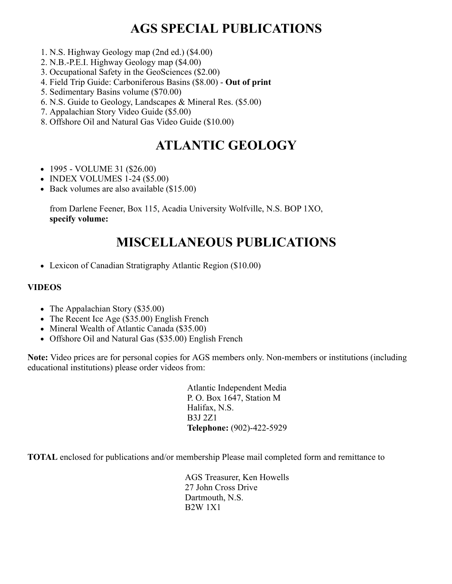### **AGS SPECIAL PUBLICATIONS**

- 1. N.S. Highway Geology map (2nd ed.) (\$4.00)
- 2. N.B.-P.E.I. Highway Geology map (\$4.00)
- 3. Occupational Safety in the GeoSciences (\$2.00)
- 4. Field Trip Guide: Carboniferous Basins (\$8.00) **Out of print**
- 5. Sedimentary Basins volume (\$70.00)
- 6. N.S. Guide to Geology, Landscapes & Mineral Res. (\$5.00)
- 7. Appalachian Story Video Guide (\$5.00)
- 8. Offshore Oil and Natural Gas Video Guide (\$10.00)

### **ATLANTIC GEOLOGY**

- $\bullet$  1995 VOLUME 31 (\$26.00)
- INDEX VOLUMES 1-24 (\$5.00)
- Back volumes are also available (\$15.00)

from Darlene Feener, Box 115, Acadia University Wolfville, N.S. BOP 1XO, **specify volume:**

### **MISCELLANEOUS PUBLICATIONS**

Lexicon of Canadian Stratigraphy Atlantic Region (\$10.00)

#### **VIDEOS**

- The Appalachian Story (\$35.00)
- The Recent Ice Age (\$35.00) English French
- Mineral Wealth of Atlantic Canada (\$35.00)
- Offshore Oil and Natural Gas (\$35.00) English French

**Note:** Video prices are for personal copies for AGS members only. Non-members or institutions (including educational institutions) please order videos from:

> Atlantic Independent Media P. O. Box 1647, Station M Halifax, N.S. B3J 2Z1 **Telephone:** (902)-422-5929

**TOTAL** enclosed for publications and/or membership Please mail completed form and remittance to

AGS Treasurer, Ken Howells 27 John Cross Drive Dartmouth, N.S. B2W 1X1